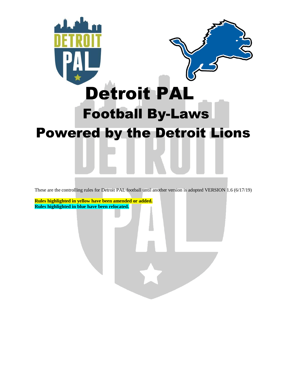

These are the controlling rules for Detroit PAL football until another version is adopted VERSION 1.6 (6/17/19)

**Rules highlighted in yellow have been amended or added. Rules highlighted in blue have been relocated.**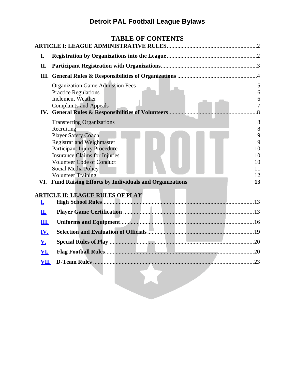<span id="page-1-0"></span>

|                   | <b>TABLE OF CONTENTS</b>                                                                                                                                                                  |                  |
|-------------------|-------------------------------------------------------------------------------------------------------------------------------------------------------------------------------------------|------------------|
| I.                |                                                                                                                                                                                           |                  |
| П.                |                                                                                                                                                                                           |                  |
|                   |                                                                                                                                                                                           |                  |
|                   | <b>Organization Game Admission Fees</b><br><b>Practice Regulations</b><br><b>Inclement Weather</b><br><b>Complaints and Appeals</b><br>IV. General Rules & Responsibilities of Volunteers | 5<br>6<br>6<br>7 |
|                   | <b>Transferring Organizations</b>                                                                                                                                                         | 8                |
|                   | Recruiting                                                                                                                                                                                | 8                |
|                   | <b>Player Safety Coach</b><br><b>Registrar and Weighmaster</b>                                                                                                                            | 9<br>9           |
|                   | <b>Participant Injury Procedure</b>                                                                                                                                                       | 10               |
|                   | <b>Insurance Claims for Injuries</b>                                                                                                                                                      | 10               |
|                   | <b>Volunteer Code of Conduct</b>                                                                                                                                                          | 10               |
|                   | <b>Social Media Policy</b><br><b>Volunteer Training</b>                                                                                                                                   | 11<br>12         |
|                   | VI. Fund Raising Efforts by Individuals and Organizations                                                                                                                                 | 13               |
|                   | <u>ARTICLE II: LEAGUE RULES OF PLAY</u>                                                                                                                                                   |                  |
| <u>I.</u>         |                                                                                                                                                                                           |                  |
| П.                |                                                                                                                                                                                           |                  |
| Ш.                |                                                                                                                                                                                           |                  |
| <u>IV.</u>        |                                                                                                                                                                                           |                  |
| $\underline{V}$ . |                                                                                                                                                                                           | .20              |
| <u>VI.</u>        |                                                                                                                                                                                           |                  |
| VII.              |                                                                                                                                                                                           |                  |
|                   |                                                                                                                                                                                           |                  |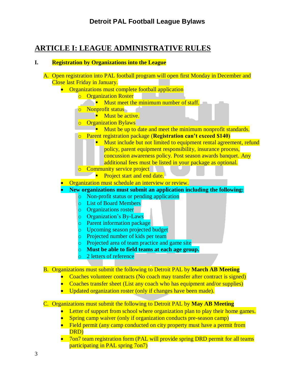## **ARTICLE I: LEAGUE ADMINISTRATIVE RULES**

## <span id="page-2-0"></span>**I. Registration by Organizations into the League**

| A. Open registration into PAL football program will open first Monday in December and<br>Close last Friday in January. |
|------------------------------------------------------------------------------------------------------------------------|
| Organizations must complete football application                                                                       |
| <b>Organization Roster</b><br>$\overline{O}$                                                                           |
| Must meet the minimum number of staff.                                                                                 |
| Nonprofit status<br>$\circ$                                                                                            |
| Must be active.                                                                                                        |
| <b>Organization Bylaws</b><br>$\overline{O}$                                                                           |
| Must be up to date and meet the minimum nonprofit standards.                                                           |
| Parent registration package (Registration can't exceed \$140)<br>$\overline{O}$                                        |
| Must include but not limited to equipment rental agreement, refund                                                     |
| policy, parent equipment responsibility, insurance process,                                                            |
| concussion awareness policy. Post season awards banquet. Any                                                           |
| additional fees must be listed in your package as optional.                                                            |
| Community service project<br>$\overline{O}$                                                                            |
| Project start and end date.                                                                                            |
| Organization must schedule an interview or review.                                                                     |
| New organizations must submit an application including the following:                                                  |
| Non-profit status or pending application<br>$\circ$                                                                    |
| <b>List of Board Members</b><br>lo.                                                                                    |
| <b>Organizations roster</b><br>$\circ$                                                                                 |
| Organization's By-Laws<br>$\circ$                                                                                      |
| Parent information package<br>$\circ$                                                                                  |
| Upcoming season projected budget<br>$\circ$                                                                            |
| Projected number of kids per team<br>$\circ$                                                                           |
| Projected area of team practice and game site<br>$\circ$                                                               |
| Must be able to field teams at each age group.<br>$\circ$                                                              |
| 2 letters of reference<br>$\circ$                                                                                      |
| <b>B.</b> Organizations must submit the following to Detroit PAL by March AB Meeting                                   |
| Coaches volunteer contracts (No coach may transfer after contract is signed)                                           |
| Coaches transfer sheet (List any coach who has equipment and/or supplies)                                              |
| Updated organization roster (only if changes have been made).                                                          |
| C. Organizations must submit the following to Detroit PAL by May AB Meeting                                            |
| Letter of support from school where organization plan to play their home games.                                        |
| Spring camp waiver (only if organization conducts pre-season camp)                                                     |
| Field permit (any camp conducted on city property must have a permit from                                              |
| DRD)                                                                                                                   |
| 7on7 team registration form (PAL will provide spring DRD permit for all teams                                          |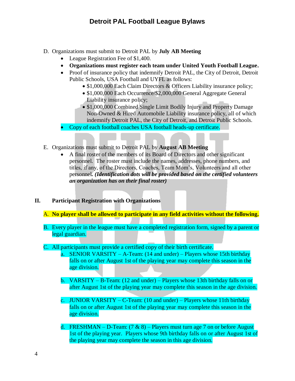- D. Organizations must submit to Detroit PAL by **July AB Meeting**
	- League Registration Fee of \$1,400.
	- **Organizations must register each team under United Youth Football League.**
	- Proof of insurance policy that indemnify Detroit PAL, the City of Detroit, Detroit Public Schools, USA Football and UYFL as follows:
		- \$1,000,000 Each Claim Directors & Officers Liability insurance policy;
		- \$1,000,000 Each Occurrence/\$2,000,000 General Aggregate General Liability insurance policy;
		- \$1,000,000 Combined Single Limit Bodily Injury and Property Damage Non-Owned & Hired Automobile Liability insurance policy, all of which indemnify Detroit PAL, the City of Detroit, and Detroit Public Schools.
	- Copy of each football coaches USA football heads-up certificate.
- E. Organizations must submit to Detroit PAL by **August AB Meeting** 
	- A final roster of the members of its Board of Directors and other significant personnel. The roster must include the names, addresses, phone numbers, and titles, if any, of the Directors, Coaches, Team Mom's, Volunteers and all other personnel*. (Identification dots will be provided based on the certified volunteers an organization has on their final roster)*
- <span id="page-3-0"></span>**II. Participant Registration with Organizations**
	- A. **No player shall be allowed to participate in any field activities without the following.**
	- B. Every player in the league must have a completed registration form, signed by a parent or legal guardian.
	- C. All participants must provide a certified copy of their birth certificate.
		- SENIOR VARSITY A-Team:  $(14 \text{ and under})$  Players whose 15th birthday falls on or after August 1st of the playing year may complete this season in the age division.
		- b. VARSITY B-Team: (12 and under) Players whose 13th birthday falls on or after August 1st of the playing year may complete this season in the age division.
		- c. JUNIOR VARSITY C-Team:  $(10 \text{ and under})$  Players whose 11th birthday falls on or after August 1st of the playing year may complete this season in the age division.
		- d. FRESHMAN D-Team:  $(7 \& 8)$  Players must turn age 7 on or before August 1st of the playing year. Players whose 9th birthday falls on or after August 1st of the playing year may complete the season in this age division.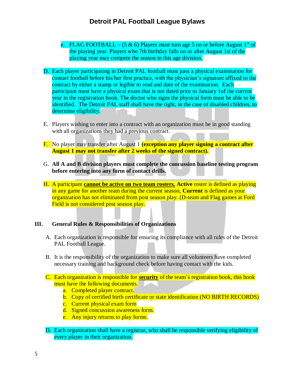- e. FLAG FOOTBALL (5 & 6) Players must turn age 5 on or before August  $1<sup>st</sup>$  of the playing year. Players who 7th birthday falls on or after August 1st of the playing year may compete the season in this age division.
- D. Each player participating in Detroit PAL football must pass a physical examination for contact football before his/her first practice, with the physician's signature affixed to the contract by either a stamp or legible to read and date of the examination. Each participant must have a physical exam that is not dated prior to January 1of the current year in the registration book. The doctor who signs the physical form must be able to be identified. The Detroit PAL staff shall have the right, in the case of disabled children, to determine eligibility.
- E. Players wishing to enter into a contract with an organization must be in good standing with all organizations they had a previous contract.
- F. No player may transfer after August 1 **(exception any player signing a contract after August 1 may not transfer after 2 weeks of the signed contract).**
- G. **All A and B division players must complete the concussion baseline testing program before entering into any form of contact drills.**
- H. A participant **cannot be active on two team rosters. Active** roster is defined as playing in any game for another team during the current season, **Current** is defined as your organization has not eliminated from post season play. (D-team and Flag games at Ford Field is not considered post season play.

#### <span id="page-4-0"></span>**III. General Rules & Responsibilities of Organizations**

- A. Each organization is responsible for ensuring its compliance with all rules of the Detroit PAL Football League.
- B. It is the responsibility of the organization to make sure all volunteers have completed necessary training and background check before having contact with the kids.
- C. Each organization is responsible for **security** of the team's registration book, this book must have the following documents.
	- a. Completed player contract.
	- b. Copy of certified birth certificate or state identification (NO BIRTH RECORDS)
	- c. Current physical exam form
	- d. Signed concussion awareness form.
	- e. Any injury returns to play forms.
- D. Each organization shall have a registrar, who shall be responsible verifying eligibility of every player in their organization.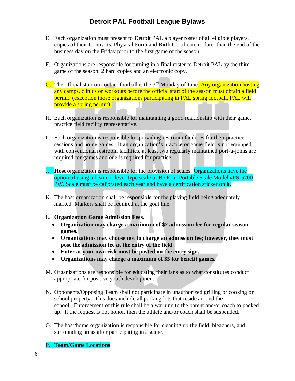- E. Each organization must present to Detroit PAL a player roster of all eligible players, copies of their Contracts, Physical Form and Birth Certificate no later than the end of the business day on the Friday prior to the first game of the season.
- F. Organizations are responsible for turning in a final roster to Detroit PAL by the third game of the season. 2 hard copies and an electronic copy.
- G. The official start on contact football is the  $3<sup>rd</sup>$  Monday of June. Any organization hosting any camps, clinics or workouts before the official start of the season must obtain a field permit. (exception those organizations participating in PAL spring football, PAL will provide a spring permit).
- H. Each organization is responsible for maintaining a good relationship with their game, practice field facility representative.
- I. Each organization is responsible for providing restroom facilities for their practice sessions and home games. If an organization's practice or game field is not equipped with conventional restroom facilities, at least two regularly maintained port-a-johns are required for games and one is required for practice.
- J. **Host** organization is responsible for the provision of scales, Organizations have the option of using a beam or lever type scale or Be Four Portable Scale Model #PS-5700 PW**.** Scale must be calibrated each year and have a certification sticker on it.
- K. The host organization shall be responsible for the playing field being adequately marked. Markers shall be required at the goal line.
- L. **Organization Game Admission Fees.**
	- **Organization may charge a maximum of \$2 admission fee for regular season games.**
	- **Organizations may choose not to charge an admission fee; however, they must post the admission fee at the entry of the field.**
	- **Enter at your own risk must be posted on the entry sign.**
	- **Organizations may charge a maximum of \$5 for benefit games.**
- M. Organizations are responsible for educating their fans as to what constitutes conduct appropriate for positive youth development.
- N. Opponents/Opposing Team shall not participate in unauthorized grilling or cooking on school property. This does include all parking lots that reside around the school. Enforcement of this rule shall be a warning to the parent and/or coach to packed up. If the request is not honor, then the athlete and/or coach shall be suspended.
- O. The host/home organization is responsible for cleaning up the field, bleachers, and surrounding areas after participating in a game.

#### **Team/Game Locations**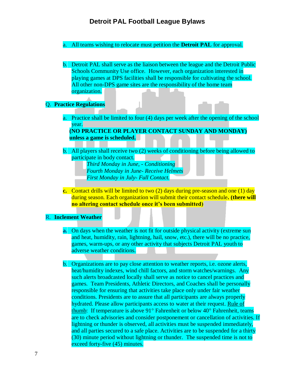- a. All teams wishing to relocate must petition the **Detroit PAL** for approval.
- b. Detroit PAL shall serve as the liaison between the league and the Detroit Public Schools Community Use office. However, each organization interested in playing games at DPS facilities shall be responsible for cultivating the school. All other non-DPS game sites are the responsibility of the home team organization.

#### Q. **Practice Regulations**

a. Practice shall be limited to four (4) days per week after the opening of the school year.

**(NO PRACTICE OR PLAYER CONTACT SUNDAY AND MONDAY) unless a game is scheduled.** 

- b. All players shall receive two (2) weeks of conditioning before being allowed to participate in body contact.
	- *Third Monday in June, - Conditioning*
	- *Fourth Monday in June- Receive Helmets*
	- *First Monday in July- Full Contact.*
- **c.** Contact drills will be limited to two (2) days during pre-season and one (1) day during season. Each organization will submit their contact schedule**. (there will no altering contact schedule once it's been submitted)**

#### R. **Inclement Weather**

- **a.** On days when the weather is not fit for outside physical activity (extreme sun and heat, humidity, rain, lightning, hail, snow, etc.), there will be no practice, games, warm-ups, or any other activity that subjects Detroit PAL youth to adverse weather conditions.
- b. Organizations are to pay close attention to weather reports, i.e. ozone alerts, heat/humidity indexes, wind chill factors, and storm watches/warnings. Any such alerts broadcasted locally shall serve as notice to cancel practices and games. Team Presidents, Athletic Directors, and Coaches shall be personally responsible for ensuring that activities take place only under fair weather conditions. Presidents are to assure that all participants are always properly hydrated. Please allow participants access to water at their request. Rule of thumb: If temperature is above  $91^\circ$  Fahrenheit or below  $40^\circ$  Fahrenheit, teams are to check advisories and consider postponement or cancellation of activities. If lightning or thunder is observed, all activities must be suspended immediately, and all parties secured to a safe place. Activities are to be suspended for a thirty (30) minute period without lightning or thunder. The suspended time is not to exceed forty-five (45) minutes.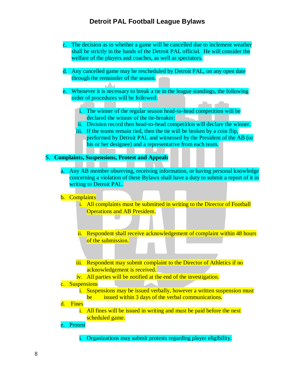- c. The decision as to whether a game will be cancelled due to inclement weather shall be strictly in the hands of the Detroit PAL official. He will consider the welfare of the players and coaches, as well as spectators.
- d. Any cancelled game may be rescheduled by Detroit PAL, on any open date through the remainder of the season.
- Whenever it is necessary to break a tie in the league standings, the following order of procedures will be followed:
	- i. The winner of the regular season head-to-head competition will be declared the winner of the tie-breaker;
	- ii. Division record then head-to-head competition will declare the winner.
	- iii. If the teams remain tied, then the tie will be broken by a coin flip, performed by Detroit PAL and witnessed by the President of the AB (or his or her designee) and a representative from each team.

S. **Complaints, Suspensions, Protest and Appeals**

a. Any AB member observing, receiving information, or having personal knowledge concerning a violation of these Bylaws shall have a duty to submit a report of it in writing to Detroit PAL.

#### b. Complaints

- i. All complaints must be submitted in writing to the Director of Football Operations and AB President.
- ii. Respondent shall receive acknowledgement of complaint within 48 hours of the submission.
- iii. Respondent may submit complaint to the Director of Athletics if no acknowledgement is received.
- iv. All parties will be notified at the end of the investigation.

#### c. Suspensions

i. Suspensions may be issued verbally, however a written suspension must be issued within 3 days of the verbal communications.

#### d. Fines

i. All fines will be issued in writing and must be paid before the next scheduled game.

#### e. Protest

i. Organizations may submit protests regarding player eligibility.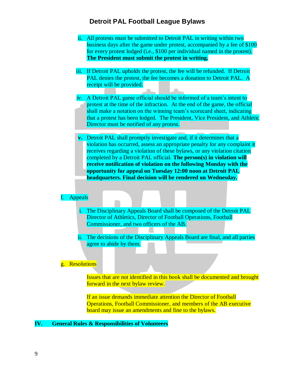- ii. All protests must be submitted to Detroit PAL in writing within two business days after the game under protest, accompanied by a fee of \$100 for every protest lodged (i.e., \$100 per individual named in the protest). **The President must submit the protest in writing.**
- iii. If Detroit PAL upholds the protest, the fee will be refunded. If Detroit PAL denies the protest, the fee becomes a donation to Detroit PAL. A receipt will be provided.
- iv. A Detroit PAL game official should be informed of a team's intent to protest at the time of the infraction. At the end of the game, the official shall make a notation on the winning team's scorecard sheet, indicating that a protest has been lodged. The President, Vice President, and Athletic Director must be notified of any protest.
- **v.** Detroit PAL shall promptly investigate and, if it determines that a violation has occurred, assess an appropriate penalty for any complaint it receives regarding a violation of these bylaws, or any violation citation completed by a Detroit PAL official. **The person(s) in violation will receive notification of violation on the following Monday with the opportunity for appeal on Tuesday 12:00 noon at Detroit PAL headquarters. Final decision will be rendered on Wednesday.**

#### f. Appeals

- i. The Disciplinary Appeals Board shall be composed of the Detroit PAL Director of Athletics, Director of Football Operations, Football Commissioner, and two officers of the AB.
- ii. The decisions of the Disciplinary Appeals Board are final, and all parties agree to abide by them.

#### g. Resolutions

Issues that are not identified in this book shall be documented and brought forward in the next bylaw review.

If an issue demands immediate attention the Director of Football Operations, Football Commissioner, and members of the AB executive board may issue an amendments and fine to the bylaws.

### **IV. General Rules & Responsibilities of Volunteers**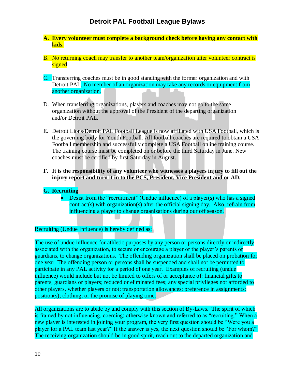- **A. Every volunteer must complete a background check before having any contact with kids.**
- B. No returning coach may transfer to another team/organization after volunteer contract is signed
- C. Transferring coaches must be in good standing with the former organization and with Detroit PAL. No member of an organization may take any records or equipment from another organization.
- D. When transferring organizations, players and coaches may not go to the same organization without the approval of the President of the departing organization and/or Detroit PAL.
- E. Detroit Lions/Detroit PAL Football League is now affiliated with USA Football, which is the governing body for Youth Football. All football coaches are required to obtain a USA Football membership and successfully complete a USA Football online training course. The training course must be completed on or before the third Saturday in June. New coaches must be certified by first Saturday in August.
- **F. It is the responsibility of any volunteer who witnesses a players injury to fill out the injury report and turn it in to the PCS, President, Vice President and or AD.**

#### **G. Recruiting**

• Desist from the "recruitment" (Undue influence) of a player(s) who has a signed contract(s) with organization(s) after the official signing day. Also, refrain from influencing a player to change organizations during our off season.

#### Recruiting (Undue Influence) is hereby defined as:

The use of undue influence for athletic purposes by any person or persons directly or indirectly associated with the organization, to secure or encourage a player or the player's parents or guardians, to change organizations. The offending organization shall be placed on probation for one year. The offending person or persons shall be suspended and shall not be permitted to participate in any PAL activity for a period of one year. Examples of recruiting (undue influence) would include but not be limited to offers of or acceptance of: financial gifts to parents, guardians or players; reduced or eliminated fees; any special privileges not afforded to other players, whether players or not; transportation allowances; preference in assignments; position(s); clothing; or the promise of playing time.

All organizations are to abide by and comply with this section of By-Laws. The spirit of which is framed by not influencing, coercing; otherwise known and referred to as "recruiting." When a new player is interested in joining your program, the very first question should be "Were you a player for a PAL team last year?" If the answer is yes, the next question should be "For whom?" The receiving organization should be in good spirit, reach out to the departed organization and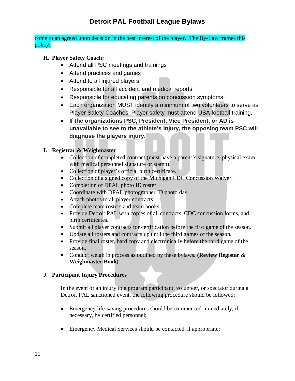come to an agreed upon decision in the best interest of the player. The By-Law frames this policy.

- **H. Player Safety Coach:**
	- Attend all PSC meetings and trainings
	- Attend practices and games
	- Attend to all injured players
	- Responsible for all accident and medical reports
	- Responsible for educating parents on concussion symptoms
	- Each organization MUST identify a minimum of two volunteers to serve as Player Safety Coaches. Player safety must attend USA football training.
	- **If the organizations PSC, President, Vice President, or AD is unavailable to see to the athlete's injury, the opposing team PSC will diagnose the players injury.**

#### **I. Registrar & Weighmaster**

- Collection of completed contract (must have a parent's signature, physical exam with medical personnel signature or stamp).
- Collection of player's official birth certificate.
- Collection of a signed copy of the Michigan CDC Concussion Waiver.
- Completion of DPAL photo ID roster.
- Coordinate with DPAL photographer ID photo day.
- Attach photos to all player contracts.
- Complete team rosters and team books.
- Provide Detroit PAL with copies of all contracts, CDC concussion forms, and birth certificates.
- Submit all player contracts for certification before the first game of the season.
- Update all rosters and contracts up until the third games of the season.
- Provide final roster, hard copy and electronically before the third game of the season.
- Conduct weigh in process as outlined by these bylaws. **(Review Registar & Weighmaster Book)**

#### **J. Participant Injury Procedures**

In the event of an injury to a program participant, volunteer, or spectator during a Detroit PAL sanctioned event, the following procedure should be followed:

- Emergency life-saving procedures should be commenced immediately, if necessary, by certified personnel;
- Emergency Medical Services should be contacted, if appropriate;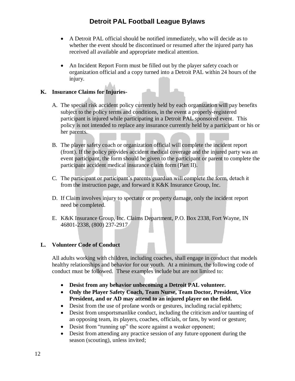- A Detroit PAL official should be notified immediately, who will decide as to whether the event should be discontinued or resumed after the injured party has received all available and appropriate medical attention.
- An Incident Report Form must be filled out by the player safety coach or organization official and a copy turned into a Detroit PAL within 24 hours of the injury.

#### **K. Insurance Claims for Injuries-**

- A. The special risk accident policy currently held by each organization will pay benefits subject to the policy terms and conditions, in the event a properly-registered participant is injured while participating in a Detroit PAL sponsored event. This policy is not intended to replace any insurance currently held by a participant or his or her parents.
- B. The player safety coach or organization official will complete the incident report (front). If the policy provides accident medical coverage and the injured party was an event participant, the form should be given to the participant or parent to complete the participant accident medical insurance claim form (Part II).
- C. The participant or participant's parents/guardian will complete the form, detach it from the instruction page, and forward it K&K Insurance Group, Inc.
- D. If Claim involves injury to spectator or property damage, only the incident report need be completed.
- E. K&K Insurance Group, Inc. Claims Department, P.O. Box 2338, Fort Wayne, IN 46801-2338, (800) 237-2917

#### <span id="page-11-0"></span> **L. Volunteer Code of Conduct**

All adults working with children, including coaches, shall engage in conduct that models healthy relationships and behavior for our youth. At a minimum, the following code of conduct must be followed. These examples include but are not limited to:

- **Desist from any behavior unbecoming a Detroit PAL volunteer.**
- **Only the Player Safety Coach, Team Nurse, Team Doctor, President, Vice President, and or AD may attend to an injured player on the field.**
- Desist from the use of profane words or gestures, including racial epithets;
- Desist from unsportsmanlike conduct, including the criticism and/or taunting of an opposing team, its players, coaches, officials, or fans, by word or gesture;
- Desist from "running up" the score against a weaker opponent;
- Desist from attending any practice session of any future opponent during the season (scouting), unless invited;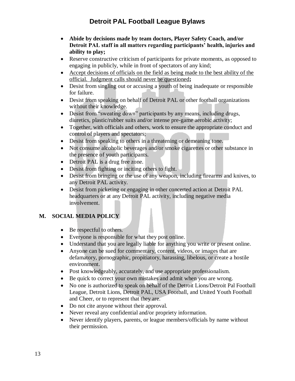- **Abide by decisions made by team doctors, Player Safety Coach, and/or Detroit PAL staff in all matters regarding participants' health, injuries and ability to play;**
- Reserve constructive criticism of participants for private moments, as opposed to engaging in publicly, while in front of spectators of any kind;
- Accept decisions of officials on the field as being made to the best ability of the official. Judgment calls should never be questioned**;**
- Desist from singling out or accusing a youth of being inadequate or responsible for failure.
- Desist from speaking on behalf of Detroit PAL or other football organizations without their knowledge.
- Desist from "sweating down" participants by any means, including drugs, diuretics, plastic/rubber suits and/or intense pre-game aerobic activity;
- Together, with officials and others, work to ensure the appropriate conduct and control of players and spectators;
- Desist from speaking to others in a threatening or demeaning tone.
- Not consume alcoholic beverages and/or smoke cigarettes or other substance in the presence of youth participants.
- Detroit PAL is a drug free zone.
- Desist from fighting or inciting others to fight.
- Desist from bringing or the use of any weapon, including firearms and knives, to any Detroit PAL activity.
- Desist from picketing or engaging in other concerted action at Detroit PAL headquarters or at any Detroit PAL activity, including negative media involvement.

## **M. SOCIAL MEDIA POLICY**

- Be respectful to others.
- Everyone is responsible for what they post online.
- Understand that you are legally liable for anything you write or present online.
- Anyone can be sued for commentary, content, videos, or images that are defamatory, pornographic, propitiatory, harassing, libelous, or create a hostile environment.
- Post knowledgeably, accurately, and use appropriate professionalism.
- Be quick to correct your own mistakes and admit when you are wrong.
- No one is authorized to speak on behalf of the Detroit Lions/Detroit Pal Football League, Detroit Lions, Detroit PAL, USA Football, and United Youth Football and Cheer, or to represent that they are.
- Do not cite anyone without their approval.
- Never reveal any confidential and/or propriety information.
- Never identify players, parents, or league members/officials by name without their permission.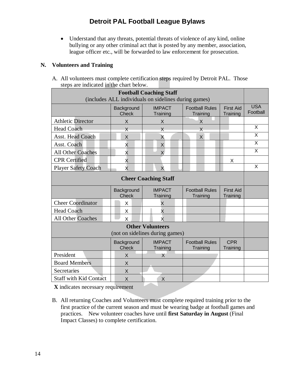• Understand that any threats, potential threats of violence of any kind, online bullying or any other criminal act that is posted by any member, association, league officer etc., will be forwarded to law enforcement for prosecution.

#### **N. Volunteers and Training**

A. All volunteers must complete certification steps required by Detroit PAL. Those steps are indicated in the chart below.

| <b>Football Coaching Staff</b><br>(includes ALL individuals on sidelines during games) |                            |                           |                                   |                              |                         |  |  |
|----------------------------------------------------------------------------------------|----------------------------|---------------------------|-----------------------------------|------------------------------|-------------------------|--|--|
|                                                                                        | Background<br><b>Check</b> | <b>IMPACT</b><br>Training | <b>Football Rules</b><br>Training | <b>First Aid</b><br>Training | <b>USA</b><br>Football  |  |  |
| <b>Athletic Director</b>                                                               | X                          | X                         | X                                 |                              |                         |  |  |
| <b>Head Coach</b>                                                                      | $\times$                   | X                         | X                                 |                              | X                       |  |  |
| <b>Asst. Head Coach</b>                                                                | X                          | X                         | X                                 |                              | X                       |  |  |
| Asst. Coach                                                                            | X                          | X                         |                                   |                              | X                       |  |  |
| <b>All Other Coaches</b>                                                               | X                          | X                         |                                   |                              | X                       |  |  |
| <b>CPR</b> Certified                                                                   | X                          |                           |                                   | X                            |                         |  |  |
| <b>Player Safety Coach</b>                                                             | X                          | $\overline{X}$            |                                   |                              | $\overline{\mathsf{x}}$ |  |  |
| <b>Cheer Coaching Staff</b>                                                            |                            |                           |                                   |                              |                         |  |  |
|                                                                                        | Background<br><b>Check</b> | <b>IMPACT</b><br>Training | <b>Football Rules</b><br>Training | <b>First Aid</b><br>Training |                         |  |  |
| <b>Cheer Coordinator</b>                                                               | X                          | X                         |                                   |                              |                         |  |  |
| <b>Head Coach</b>                                                                      | X                          | X                         |                                   |                              |                         |  |  |
| <b>All Other Coaches</b>                                                               | X                          | X                         |                                   |                              |                         |  |  |
| <b>Other Volunteers</b><br>(not on sidelines during games)                             |                            |                           |                                   |                              |                         |  |  |
|                                                                                        | Background<br><b>Check</b> | <b>IMPACT</b><br>Training | <b>Football Rules</b><br>Training | <b>CPR</b><br>Training       |                         |  |  |
| President                                                                              | X                          | X                         |                                   |                              |                         |  |  |
| <b>Board Members</b>                                                                   | X                          |                           |                                   |                              |                         |  |  |
| Secretaries                                                                            | X                          |                           |                                   |                              |                         |  |  |
| <b>Staff with Kid Contact</b>                                                          | X                          | X                         |                                   |                              |                         |  |  |

**X** indicates necessary requirement

B. All returning Coaches and Volunteers must complete required training prior to the first practice of the current season and must be wearing badge at football games and practices. New volunteer coaches have until **first Saturday in August** (Final Impact Classes) to complete certification.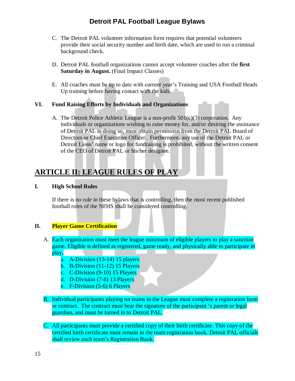- C. The Detroit PAL volunteer information form requires that potential volunteers provide their social security number and birth date, which are used to run a criminal background check.
- D. Detroit PAL football organizations cannot accept volunteer coaches after the **first**  Saturday in August. (Final Impact Classes)
- E. All coaches must be up to date with current year's Training and USA Football Heads Up training before having contact with the kids.

#### **VI. Fund Raising Efforts by Individuals and Organizations**

A. The Detroit Police Athletic League is a non-profit  $501(c)(3)$  corporation. Any individuals or organizations wishing to raise money for, and/or desiring the assistance of Detroit PAL in doing so, must obtain permission from the Detroit PAL Board of Directors or Chief Executive Officer. Furthermore, any use of the Detroit PAL or Detroit Lions' name or logo for fundraising is prohibited, without the written consent of the CEO of Detroit PAL or his/her designee.

## **ARTICLE II: LEAGUE RULES OF PLAY**

#### <span id="page-14-0"></span>**I. High School Rules**

If there is no rule in these bylaws that is controlling, then the most recent published football rules of the NFHS shall be considered controlling.

#### <span id="page-14-1"></span>**II. Player Game Certification**

- A. Each organization must meet the league minimum of eligible players to play a sanction game. Eligible is defined as registered, game ready, and physically able to participate in play**.**
	- a. A-Division (13-14) 15 players
	- b. B-Division (11-12) 15 Players
	- c. C-Division (9-10) 15 Players
	- d. D-Division (7-8) 13 Players
	- e. F-Division (5-6) 6 Players
- B. Individual participants playing on teams in the League must complete a registration form or contract. The contract must bear the signature of the participant 's parent or legal guardian, and must be turned in to Detroit PAL.
- C. All participants must provide a certified copy of their birth certificate. This copy of the certified birth certificate must remain in the team registration book. Detroit PAL officials shall review each team's Registration Book.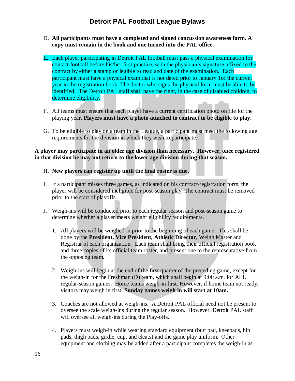- D. **All participants must have a completed and signed concussion awareness form. A copy must remain in the book and one turned into the PAL office.**
- E. Each player participating in Detroit PAL football must pass a physical examination for contact football before his/her first practice, with the physician's signature affixed to the contract by either a stamp or legible to read and date of the examination. Each participant must have a physical exam that is not dated prior to January 1of the current year in the registration book. The doctor who signs the physical form must be able to be identified. The Detroit PAL staff shall have the right, in the case of disabled children, to determine eligibility.
- F. All teams must ensure that each player have a current certification photo on file for the playing year. **Players must have a photo attached to contract to be eligible to play.**
- G. To be eligible to play on a team in the League, a participant must meet the following age requirements for the division in which they wish to participate:

**A player may participate in an older age division than necessary. However, once registered in that division he may not return to the lower age division during that season.**

- H. **New players can register up until the final roster is due.**
- I. If a participant misses three games, as indicated on his contract/registration form, the player will be considered ineligible for post-season play. The contract must be removed prior to the start of playoffs.
- J. Weigh-ins will be conducted prior to each regular season and post-season game to determine whether a player meets weight eligibility requirements.
	- 1. All players will be weighed in prior to the beginning of each game. This shall be done by the **President, Vice President, Athletic Director**, Weigh Master and Registrar of each organization. Each team shall bring their official registration book and three copies of its official team roster, and present one to the representative from the opposing team.
	- 2. Weigh-ins will begin at the end of the first quarter of the preceding game, except for the weigh-in for the Freshman (D) team, which shall begin at 9:00 a.m. for ALL regular-season games. Home teams weigh-in first. However, if home team not ready, visitors may weigh in first. **Sunday games weigh in will start at 10am.**
	- 3. Coaches are not allowed at weigh-ins. A Detroit PAL official need not be present to oversee the scale weigh-ins during the regular season. However, Detroit PAL staff will oversee all weigh-ins during the Play-offs.
	- 4. Players must weigh-in while wearing standard equipment (butt pad, kneepads, hip pads, thigh pads, girdle, cup, and cleats) and the game play uniform. Other equipment and clothing may be added after a participant completes the weigh-in as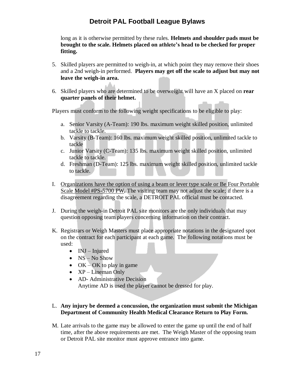long as it is otherwise permitted by these rules. **Helmets and shoulder pads must be brought to the scale. Helmets placed on athlete's head to be checked for proper fitting.**

- 5. Skilled players are permitted to weigh-in, at which point they may remove their shoes and a 2nd weigh-in performed. **Players may get off the scale to adjust but may not leave the weigh-in area.**
- 6. Skilled players who are determined to be overweight will have an X placed on **rear quarter panels of their helmet.**

Players must conform to the following weight specifications to be eligible to play:

- a. Senior Varsity (A-Team): 190 lbs. maximum weight skilled position, unlimited tackle to tackle.
- b. Varsity (B-Team): 160 lbs. maximum weight skilled position, unlimited tackle to tackle
- c. Junior Varsity (C-Team): 135 lbs. maximum weight skilled position, unlimited tackle to tackle.
- d. Freshman (D-Team): 125 lbs. maximum weight skilled position, unlimited tackle to tackle.
- I. Organizations have the option of using a beam or lever type scale or Be Four Portable Scale Model #PS-5700 PW**.** The visiting team may not adjust the scale; if there is a disagreement regarding the scale, a DETROIT PAL official must be contacted.
- J. During the weigh-in Detroit PAL site monitors are the only individuals that may question opposing team players concerning information on their contract.
- K. Registrars or Weigh Masters must place appropriate notations in the designated spot on the contract for each participant at each game. The following notations must be used:
	- $\bullet$  INJ Injured
	- NS No Show
	- OK OK to play in game
	- XP Lineman Only
	- AD- Administrative Decision Anytime AD is used the player cannot be dressed for play.

#### L. **Any injury be deemed a concussion, the organization must submit the Michigan Department of Community Health Medical Clearance Return to Play Form.**

M. Late arrivals to the game may be allowed to enter the game up until the end of half time, after the above requirements are met. The Weigh Master of the opposing team or Detroit PAL site monitor must approve entrance into game.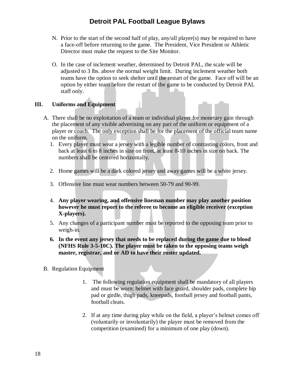- N. Prior to the start of the second half of play, any/all player(s) may be required to have a face-off before returning to the game. The President, Vice President or Athletic Director must make the request to the Site Monitor.
- O. In the case of inclement weather, determined by Detroit PAL, the scale will be adjusted to 3 lbs. above the normal weight limit. During inclement weather both teams have the option to seek shelter until the restart of the game. Face off will be an option by either team before the restart of the game to be conducted by Detroit PAL staff only.

#### <span id="page-17-0"></span>**III. Uniforms and Equipment**

- A. There shall be no exploitation of a team or individual player for monetary gain through the placement of any visible advertising on any part of the uniform or equipment of a player or coach. The only exception shall be for the placement of the official team name on the uniform.
	- 1. Every player must wear a jersey with a legible number of contrasting colors, front and back at least 6 to 8 inches in size on front, at least 8-10 inches in size on back. The numbers shall be centered horizontally.
	- 2. Home games will be a dark colored jersey and away games will be a white jersey.
	- 3. Offensive line must wear numbers between 50-79 and 90-99.
	- 4. **Any player wearing, and offensive lineman number may play another position however he must report to the referee to become an eligible receiver (exception X-players).**
	- 5. Any changes of a participant number must be reported to the opposing team prior to weigh-in.
	- **6. In the event any jersey that needs to be replaced during the game due to blood (NFHS Rule 3-5-10C). The player must be taken to the opposing teams weigh master, registrar, and or AD to have their roster updated.**
- B. Regulation Equipment
	- 1. The following regulation equipment shall be mandatory of all players and must be worn: helmet with face guard, shoulder pads, complete hip pad or girdle, thigh pads, kneepads, football jersey and football pants, football cleats.
	- 2. If at any time during play while on the field, a player's helmet comes off (voluntarily or involuntarily) the player must be removed from the competition (examined) for a minimum of one play (down).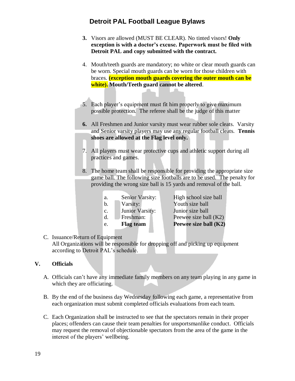- **3.** Visors are allowed (MUST BE CLEAR). No tinted visors! **Only exception is with a doctor's excuse. Paperwork must be filed with Detroit PAL and copy submitted with the contract.**
- 4. Mouth/teeth guards are mandatory; no white or clear mouth guards can be worn. Special mouth guards can be worn for those children with braces. **(exception mouth guards covering the outer mouth can be white). Mouth/Teeth guard cannot be altered**.
- 5. Each player's equipment must fit him properly to give maximum possible protection. The referee shall be the judge of this matter
- **6.** All Freshmen and Junior varsity must wear rubber sole cleats. Varsity and Senior varsity players may use any regular football cleats. **Tennis shoes are allowed at the Flag level only.**
- 7. All players must wear protective cups and athletic support during all practices and games.
- 8. The home team shall be responsible for providing the appropriate size game ball. The following size footballs are to be used. The penalty for providing the wrong size ball is 15 yards and removal of the ball.

| Senior Varsity:  | High school size ball |
|------------------|-----------------------|
| Varsity:         | Youth size ball       |
| Junior Varsity:  | Junior size ball      |
| Freshman:        | Peewee size ball (K2) |
| <b>Flag team</b> | Peewee size ball (K2) |
|                  |                       |

### C. Issuance/Return of Equipment

All Organizations will be responsible for dropping off and picking up equipment according to Detroit PAL's schedule.

### <span id="page-18-0"></span>**V. Officials**

- A. Officials can't have any immediate family members on any team playing in any game in which they are officiating.
- B. By the end of the business day Wednesday following each game, a representative from each organization must submit completed officials evaluations from each team.
- C. Each Organization shall be instructed to see that the spectators remain in their proper places; offenders can cause their team penalties for unsportsmanlike conduct. Officials may request the removal of objectionable spectators from the area of the game in the interest of the players' wellbeing.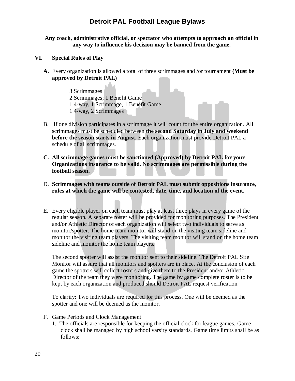#### **Any coach, administrative official, or spectator who attempts to approach an official in any way to influence his decision may be banned from the game.**

- <span id="page-19-0"></span>**VI. Special Rules of Play**
	- **A.** Every organization is allowed a total of three scrimmages and /or tournament **(Must be approved by Detroit PAL)**
		- 3 Scrimmages 2 Scrimmages; 1 Benefit Game 1 4-way, 1 Scrimmage, 1 Benefit Game 1 4-way, 2 Scrimmages
	- B. If one division participates in a scrimmage it will count for the entire organization. All scrimmages must be scheduled between **the second Saturday in July and weekend before the season starts in August.** Each organization must provide Detroit PAL a schedule of all scrimmages.
	- **C. All scrimmage games must be sanctioned (Approved) by Detroit PAL for your Organizations insurance to be valid. No scrimmages are permissible during the football season.**
	- D. **Scrimmages with teams outside of Detroit PAL must submit oppositions insurance, rules at which the game will be contested, date, time, and location of the event.**
	- E. Every eligible player on each team must play at least three plays in every game of the regular season. A separate roster will be provided for monitoring purposes. The President and/or Athletic Director of each organization will select two individuals to serve as monitor/spotter. The home team monitor will stand on the visiting team sideline and monitor the visiting team players. The visiting team monitor will stand on the home team sideline and monitor the home team players.

The second spotter will assist the monitor sent to their sideline. The Detroit PAL Site Monitor will assure that all monitors and spotters are in place. At the conclusion of each game the spotters will collect rosters and give them to the President and/or Athletic Director of the team they were monitoring. The game by game complete roster is to be kept by each organization and produced should Detroit PAL request verification.

To clarify: Two individuals are required for this process. One will be deemed as the spotter and one will be deemed as the monitor.

- F. Game Periods and Clock Management
	- 1. The officials are responsible for keeping the official clock for league games. Game clock shall be managed by high school varsity standards. Game time limits shall be as follows: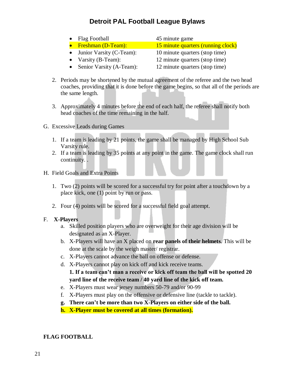- Flag Football 45 minute game • Freshman (D-Team): 15 minute quarters (running clock) • Junior Varsity (C-Team): 10 minute quarters (stop time) • Varsity (B-Team): 12 minute quarters (stop time)
- Senior Varsity (A-Team): 12 minute quarters (stop time)
- 2. Periods may be shortened by the mutual agreement of the referee and the two head coaches, providing that it is done before the game begins, so that all of the periods are the same length.
- 3. Approximately 4 minutes before the end of each half, the referee shall notify both head coaches of the time remaining in the half.
- G. Excessive Leads during Games
	- 1. If a team is leading by 21 points, the game shall be managed by High School Sub Varsity rule.
	- 2. If a team is leading by 35 points at any point in the game. The game clock shall run continuity. .
- H. Field Goals and Extra Points
	- 1. Two (2) points will be scored for a successful try for point after a touchdown by a place kick, one (1) point by run or pass.
	- 2. Four (4) points will be scored for a successful field goal attempt.

#### F. **X-Players**

- a. Skilled position players who are overweight for their age division will be designated as an X-Player.
- b. X-Players will have an X placed on **rear panels of their helmets**. This will be done at the scale by the weigh master/ registrar.
- c. X-Players cannot advance the ball on offense or defense.
- d. X-Players cannot play on kick off and kick receive teams.
	- **1. If a team can't man a receive or kick off team the ball will be spotted 20 yard line of the receive team / 40 yard line of the kick off team.**
- e. X-Players must wear jersey numbers 50-79 and/or 90-99
- f. X-Players must play on the offensive or defensive line (tackle to tackle).
- **g. There can't be more than two X-Players on either side of the ball.**
- **h. X-Player must be covered at all times (formation).**

#### **FLAG FOOTBALL**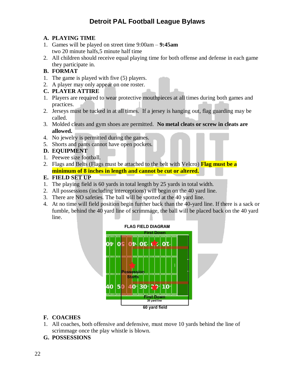### **A. PLAYING TIME**

- 1. Games will be played on street time 9:00am **9:45am** two 20 minute halfs,5 minute half time
- 2. All children should receive equal playing time for both offense and defense in each game they participate in.

### **B. FORMAT**

- 1. The game is played with five (5) players.
- 2. A player may only appear on one roster.

#### **C. PLAYER ATTIRE**

- 1. Players are required to wear protective mouthpieces at all times during both games and practices.
- 2. Jerseys must be tucked in at all times. If a jersey is hanging out, flag guarding may be called.
- 3. Molded cleats and gym shoes are permitted. **No metal cleats or screw in cleats are allowed.**
- 4. No jewelry is permitted during the games.
- 5. Shorts and pants cannot have open pockets.

#### **D. EQUIPMENT**

- 1. Peewee size football.
- 2. Flags and Belts (Flags must be attached to the belt with Velcro) **Flag must be a minimum of 8 inches in length and cannot be cut or altered.**

### **E. FIELD SET UP**

- 1. The playing field is 60 yards in total length by 25 yards in total width.
- 2. All possessions (including interceptions) will begin on the 40 yard line.
- 3. There are NO safeties. The ball will be spotted at the 40 yard line.
- 4. At no time will field position begin further back than the 40-yard line. If there is a sack or fumble, behind the 40 yard line of scrimmage, the ball will be placed back on the 40 yard line.



### **F. COACHES**

1. All coaches, both offensive and defensive, must move 10 yards behind the line of scrimmage once the play whistle is blown.

### **G. POSSESSIONS**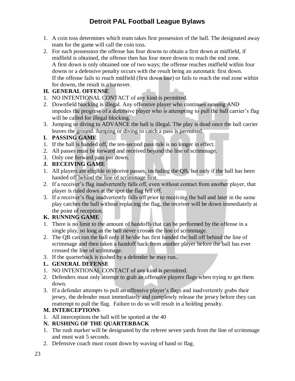- 1. A coin toss determines which team takes first possession of the ball. The designated away team for the game will call the coin toss.
- 2. For each possession the offense has four downs to obtain a first down at midfield, if midfield is obtained, the offense then has four more downs to reach the end zone. A first down is only obtained one of two ways; the offense reaches midfield within four downs or a defensive penalty occurs with the result being an automatic first down. If the offense fails to reach midfield (first down line) or fails to reach the end zone within for downs, the result is a turnover.

#### **H. GENERAL OFFENSE**

- 1. NO INTENTIONAL CONTACT of any kind is permitted.
- 2. Downfield blocking is illegal. Any offensive player who continues running AND impedes the progress of a defensive player who is attempting to pull the ball carrier's flag will be called for illegal blocking.
- 3. Jumping or diving to ADVANCE the ball is illegal. The play is dead once the ball carrier leaves the ground. Jumping or diving to catch a pass is permitted.

### **I. PASSING GAME**

- 1. If the ball is handed off, the ten-second pass rule is no longer in effect.
- 2. All passes must be forward and received beyond the line of scrimmage.
- 3. Only one forward pass per down.

### **J. RECEIVING GAME**

- 1. All players are eligible to receive passes, including the QB, but only if the ball has been handed off behind the line of scrimmage first.
- 2. If a receiver's flag inadvertently falls off, even without contact from another player, that player is ruled down at the spot the flag fell off.
- 3. If a receiver's flag inadvertently falls off prior to receiving the ball and later in the same play catches the ball without replacing the flag, the receiver will be down immediately at the point of reception.

### **K. RUNNING GAME**

- 1. There is no limit to the amount of handoffs that can be performed by the offense in a single play, so long as the ball never crosses the line of scrimmage.
- 2. The QB can run the ball only if he/she has first handed the ball off behind the line of scrimmage and then taken a handoff back from another player before the ball has ever crossed the line of scrimmage.
- 3. If the quarterback is rushed by a defender he may run..

### **L. GENERAL DEFENSE**

- 1. NO INTENTIONAL CONTACT of any kind is permitted.
- 2. Defenders must only attempt to grab an offensive players flags when trying to get them down.
- 3. If a defender attempts to pull an offensive player's flags and inadvertently grabs their jersey, the defender must immediately and completely release the jersey before they can reattempt to pull the flag. Failure to do so will result in a holding penalty.

### **M. INTERCEPTIONS**

1. All interceptions the ball will be spotted at the 40

### **N. RUSHING OF THE QUARTERBACK**

- 1. The rush marker will be designated by the referee seven yards from the line of scrimmage and must wait 5 seconds.
- 2. Defensive coach must count down by waving of hand or flag.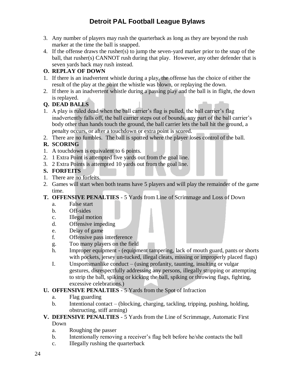- 3. Any number of players may rush the quarterback as long as they are beyond the rush marker at the time the ball is snapped.
- 4. If the offense draws the rusher(s) to jump the seven-yard marker prior to the snap of the ball, that rusher(s) CANNOT rush during that play. However, any other defender that is seven yards back may rush instead.

### **O. REPLAY OF DOWN**

- 1. If there is an inadvertent whistle during a play, the offense has the choice of either the result of the play at the point the whistle was blown, or replaying the down.
- 2. If there is an inadvertent whistle during a passing play and the ball is in flight, the down is replayed.

### **Q. DEAD BALLS**

- 1. A play is ruled dead when the ball carrier's flag is pulled, the ball carrier's flag inadvertently falls off, the ball carrier steps out of bounds, any part of the ball carrier's body other than hands touch the ground, the ball carrier lets the ball hit the ground, a penalty occurs, or after a touchdown or extra point is scored.
- 2. There are no fumbles. The ball is spotted where the player loses control of the ball.

### **R. SCORING**

- 1. A touchdown is equivalent to 6 points.
- 2. 1 Extra Point is attempted five yards out from the goal line.
- 3. 2 Extra Points is attempted 10 yards out from the goal line.

### **S. FORFEITS**

- 1. There are no forfeits.
- 2. Games will start when both teams have 5 players and will play the remainder of the game time.
- **T. OFFENSIVE PENALTIES** 5 Yards from Line of Scrimmage and Loss of Down
	- a. False start
	- b. Off-sides
	- c. Illegal motion
	- d. Offensive impeding
	- e. Delay of game
	- f. Offensive pass interference
	- g. Too many players on the field
	- h. Improper equipment (equipment tampering, lack of mouth guard, pants or shorts with pockets, jersey un-tucked, illegal cleats, missing or improperly placed flags)
	- I. Unsportsmanlike conduct (using profanity, taunting, insulting or vulgar gestures, disrespectfully addressing any persons, illegally stripping or attempting to strip the ball, spiking or kicking the ball, spiking or throwing flags, fighting, excessive celebrations.)

### **U. OFFENSIVE PENALTIES** - 5 Yards from the Spot of Infraction

- a. Flag guarding
- b. Intentional contact (blocking, charging, tackling, tripping, pushing, holding, obstructing, stiff arming)

#### **V. DEFENSIVE PENALTIES** - 5 Yards from the Line of Scrimmage, Automatic First Down

- a. Roughing the passer
- b. Intentionally removing a receiver's flag belt before he/she contacts the ball
- c. Illegally rushing the quarterback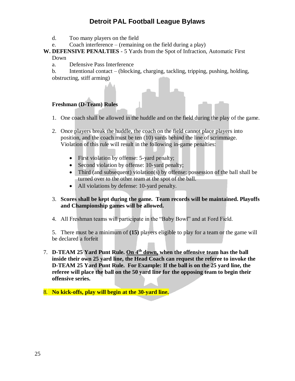- d. Too many players on the field
- e. Coach interference (remaining on the field during a play)

#### **W. DEFENSIVE PENALTIES** - 5 Yards from the Spot of Infraction, Automatic First Down

a. Defensive Pass Interference

b. Intentional contact – (blocking, charging, tackling, tripping, pushing, holding, obstructing, stiff arming)

#### **Freshman (D-Team) Rules**

- 1. One coach shall be allowed in the huddle and on the field during the play of the game.
- 2. Once players break the huddle, the coach on the field cannot place players into position, and the coach must be ten (10) yards behind the line of scrimmage. Violation of this rule will result in the following in-game penalties:
	- First violation by offense: 5-yard penalty;
	- Second violation by offense: 10-yard penalty;
	- Third (and subsequent) violation(s) by offense: possession of the ball shall be turned over to the other team at the spot of the ball.
	- All violations by defense: 10-yard penalty.

#### 3. **Scores shall be kept during the game. Team records will be maintained. Playoffs and Championship games will be allowed.**

4. All Freshman teams will participate in the "Baby Bowl" and at Ford Field.

5. There must be a minimum of **(15)** players eligible to play for a team or the game will be declared a forfeit

- 7. **D-TEAM 25 Yard Punt Rule. On 4th down, when the offensive team has the ball inside their own 25 yard line, the Head Coach can request the referee to invoke the D-TEAM 25 Yard Punt Rule. For Example: If the ball is on the 25 yard line, the referee will place the ball on the 50 yard line for the opposing team to begin their offensive series.**
- <span id="page-24-1"></span><span id="page-24-0"></span>8. **No kick-offs, play will begin at the 30-yard line.**